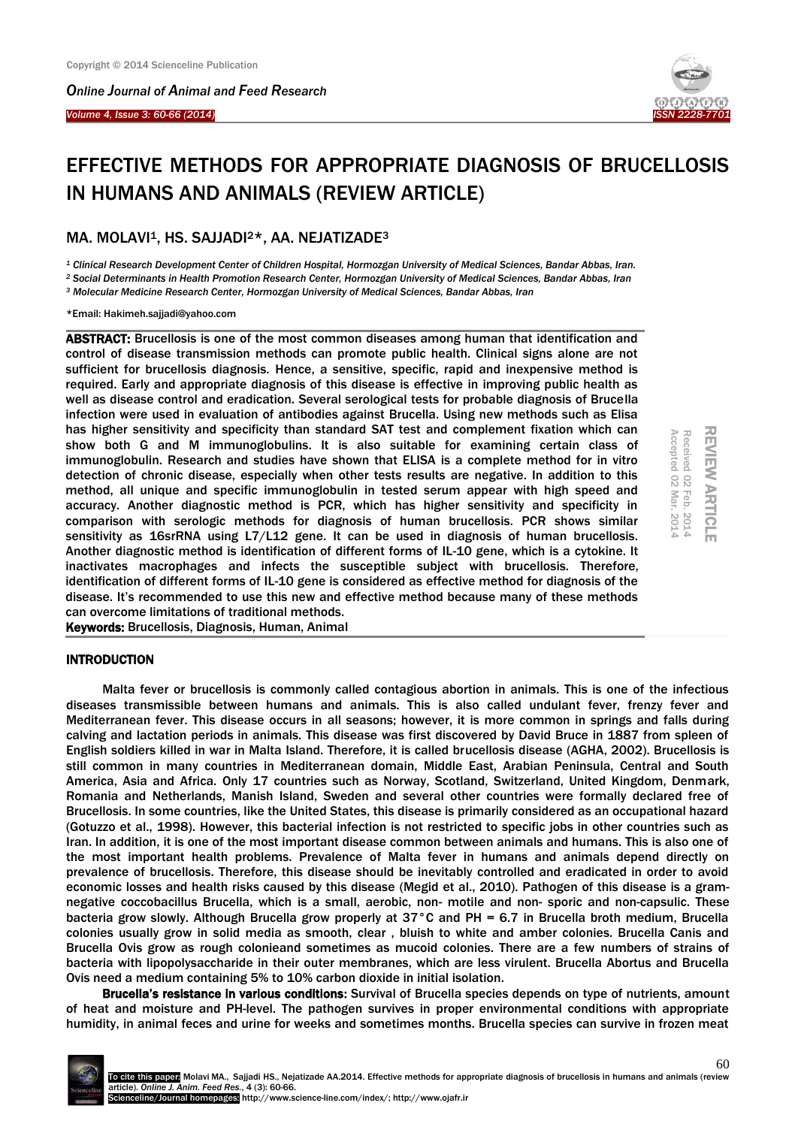*Online Journal of Animal and Feed Research* 



# EFFECTIVE METHODS FOR APPROPRIATE DIAGNOSIS OF BRUCELLOSIS IN HUMANS AND ANIMALS (REVIEW ARTICLE)

# MA. MOLAVI<sup>1</sup>, HS. SAJJADI<sup>2\*</sup>, AA. NEJATIZADE<sup>3</sup>

*<sup>1</sup> Clinical Research Development Center of Children Hospital, Hormozgan University of Medical Sciences, Bandar Abbas, Iran. <sup>2</sup> Social Determinants in Health Promotion Research Center, Hormozgan University of Medical Sciences, Bandar Abbas, Iran*

*<sup>3</sup> Molecular Medicine Research Center, Hormozgan University of Medical Sciences, Bandar Abbas, Iran*

\*Email: Hakimeh.sajjadi@yahoo.com

ABSTRACT: Brucellosis is one of the most common diseases among human that identification and control of disease transmission methods can promote public health. Clinical signs alone are not sufficient for brucellosis diagnosis. Hence, a sensitive, specific, rapid and inexpensive method is required. Early and appropriate diagnosis of this disease is effective in improving public health as well as disease control and eradication. Several serological tests for probable diagnosis of Brucella infection were used in evaluation of antibodies against Brucella. Using new methods such as Elisa has higher sensitivity and specificity than standard SAT test and complement fixation which can show both G and M immunoglobulins. It is also suitable for examining certain class of immunoglobulin. Research and studies have shown that ELISA is a complete method for in vitro detection of chronic disease, especially when other tests results are negative. In addition to this method, all unique and specific immunoglobulin in tested serum appear with high speed and accuracy. Another diagnostic method is PCR, which has higher sensitivity and specificity in comparison with serologic methods for diagnosis of human brucellosis. PCR shows similar sensitivity as 16srRNA using L7/L12 gene. It can be used in diagnosis of human brucellosis. Another diagnostic method is identification of different forms of IL-10 gene, which is a cytokine. It inactivates macrophages and infects the susceptible subject with brucellosis. Therefore, identification of different forms of IL-10 gene is considered as effective method for diagnosis of the disease. It's recommended to use this new and effective method because many of these methods can overcome limitations of traditional methods.

Keywords: Brucellosis, Diagnosis, Human, Animal

# **INTRODUCTION**

Malta fever or brucellosis is commonly called contagious abortion in animals. This is one of the infectious diseases transmissible between humans and animals. This is also called undulant fever, frenzy fever and Mediterranean fever. This disease occurs in all seasons; however, it is more common in springs and falls during calving and lactation periods in animals. This disease was first discovered by David Bruce in 1887 from spleen of English soldiers killed in war in Malta Island. Therefore, it is called brucellosis disease (AGHA, 2002). Brucellosis is still common in many countries in Mediterranean domain, Middle East, Arabian Peninsula, Central and South America, Asia and Africa. Only 17 countries such as Norway, Scotland, Switzerland, United Kingdom, Denmark, Romania and Netherlands, Manish Island, Sweden and several other countries were formally declared free of Brucellosis. In some countries, like the United States, this disease is primarily considered as an occupational hazard (Gotuzzo et al., 1998). However, this bacterial infection is not restricted to specific jobs in other countries such as Iran. In addition, it is one of the most important disease common between animals and humans. This is also one of the most important health problems. Prevalence of Malta fever in humans and animals depend directly on prevalence of brucellosis. Therefore, this disease should be inevitably controlled and eradicated in order to avoid economic losses and health risks caused by this disease (Megid et al., 2010). Pathogen of this disease is a gramnegative coccobacillus Brucella, which is a small, aerobic, non- motile and non- sporic and non-capsulic. These bacteria grow slowly. Although Brucella grow properly at 37°C and PH = 6.7 in Brucella broth medium, Brucella colonies usually grow in solid media as smooth, clear , bluish to white and amber colonies. Brucella Canis and Brucella Ovis grow as rough colonieand sometimes as mucoid colonies. There are a few numbers of strains of bacteria with lipopolysaccharide in their outer membranes, which are less virulent. Brucella Abortus and Brucella Ovis need a medium containing 5% to 10% carbon dioxide in initial isolation.

Brucella's resistance in various conditions: Survival of Brucella species depends on type of nutrients, amount of heat and moisture and PH-level. The pathogen survives in proper environmental conditions with appropriate humidity, in animal feces and urine for weeks and sometimes months. Brucella species can survive in frozen meat

REVIEW ARTICLE REVIEW ARTICLE Received 02 Feb. 2014<br>Accepted 02 Mar. 2014 Accepted 02 Mar. 2014 Received 02 Feb. 2014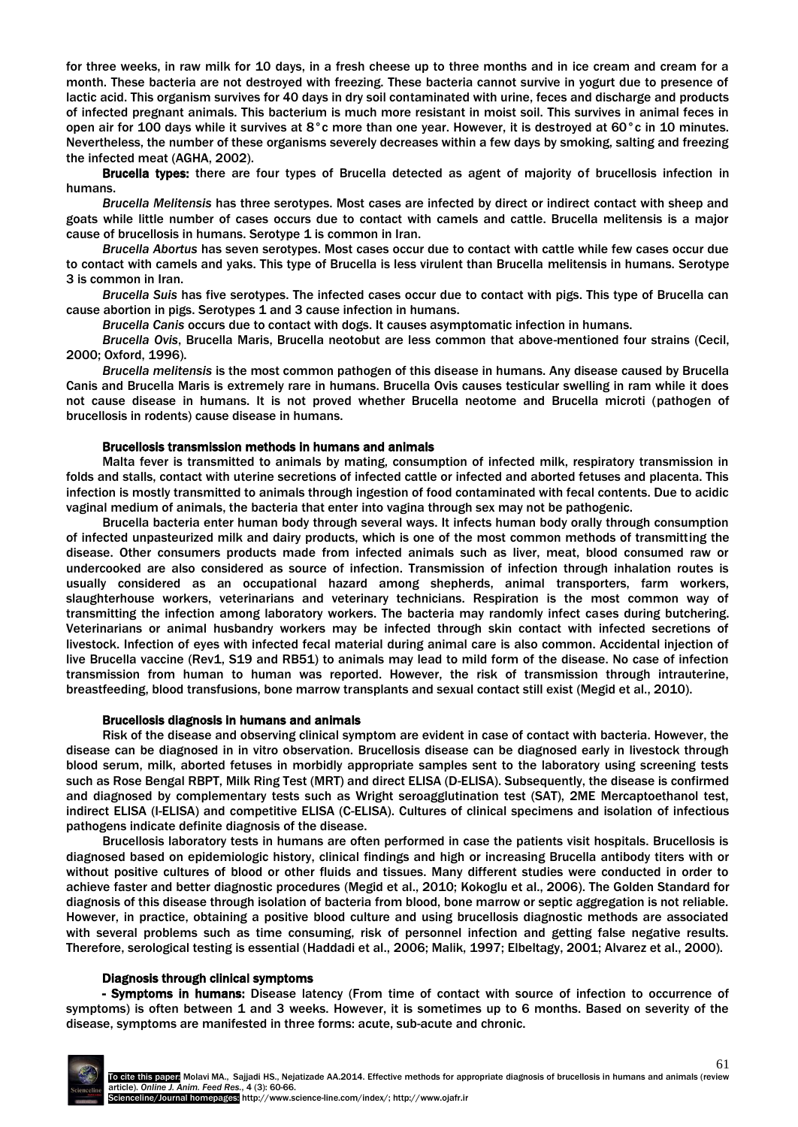for three weeks, in raw milk for 10 days, in a fresh cheese up to three months and in ice cream and cream for a month. These bacteria are not destroyed with freezing. These bacteria cannot survive in yogurt due to presence of lactic acid. This organism survives for 40 days in dry soil contaminated with urine, feces and discharge and products of infected pregnant animals. This bacterium is much more resistant in moist soil. This survives in animal feces in open air for 100 days while it survives at 8°c more than one year. However, it is destroyed at 60°c in 10 minutes. Nevertheless, the number of these organisms severely decreases within a few days by smoking, salting and freezing the infected meat (AGHA, 2002).

Brucella types: there are four types of Brucella detected as agent of majority of brucellosis infection in humans.

*Brucella Melitensis* has three serotypes. Most cases are infected by direct or indirect contact with sheep and goats while little number of cases occurs due to contact with camels and cattle. Brucella melitensis is a major cause of brucellosis in humans. Serotype 1 is common in Iran.

*Brucella Abortus* has seven serotypes. Most cases occur due to contact with cattle while few cases occur due to contact with camels and yaks. This type of Brucella is less virulent than Brucella melitensis in humans. Serotype 3 is common in Iran.

*Brucella Suis* has five serotypes. The infected cases occur due to contact with pigs. This type of Brucella can cause abortion in pigs. Serotypes 1 and 3 cause infection in humans.

*Brucella Canis* occurs due to contact with dogs. It causes asymptomatic infection in humans.

*Brucella Ovis*, Brucella Maris, Brucella neotobut are less common that above-mentioned four strains (Cecil, 2000; Oxford, 1996).

*Brucella melitensis* is the most common pathogen of this disease in humans. Any disease caused by Brucella Canis and Brucella Maris is extremely rare in humans. Brucella Ovis causes testicular swelling in ram while it does not cause disease in humans. It is not proved whether Brucella neotome and Brucella microti (pathogen of brucellosis in rodents) cause disease in humans.

## Brucellosis transmission methods in humans and animals

Malta fever is transmitted to animals by mating, consumption of infected milk, respiratory transmission in folds and stalls, contact with uterine secretions of infected cattle or infected and aborted fetuses and placenta. This infection is mostly transmitted to animals through ingestion of food contaminated with fecal contents. Due to acidic vaginal medium of animals, the bacteria that enter into vagina through sex may not be pathogenic.

Brucella bacteria enter human body through several ways. It infects human body orally through consumption of infected unpasteurized milk and dairy products, which is one of the most common methods of transmitting the disease. Other consumers products made from infected animals such as liver, meat, blood consumed raw or undercooked are also considered as source of infection. Transmission of infection through inhalation routes is usually considered as an occupational hazard among shepherds, animal transporters, farm workers, slaughterhouse workers, veterinarians and veterinary technicians. Respiration is the most common way of transmitting the infection among laboratory workers. The bacteria may randomly infect cases during butchering. Veterinarians or animal husbandry workers may be infected through skin contact with infected secretions of livestock. Infection of eyes with infected fecal material during animal care is also common. Accidental injection of live Brucella vaccine (Rev1, S19 and RB51) to animals may lead to mild form of the disease. No case of infection transmission from human to human was reported. However, the risk of transmission through intrauterine, breastfeeding, blood transfusions, bone marrow transplants and sexual contact still exist (Megid et al., 2010).

#### Brucellosis diagnosis in humans and animals

Risk of the disease and observing clinical symptom are evident in case of contact with bacteria. However, the disease can be diagnosed in in vitro observation. Brucellosis disease can be diagnosed early in livestock through blood serum, milk, aborted fetuses in morbidly appropriate samples sent to the laboratory using screening tests such as Rose Bengal RBPT, Milk Ring Test (MRT) and direct ELISA (D-ELISA). Subsequently, the disease is confirmed and diagnosed by complementary tests such as Wright seroagglutination test (SAT), 2ME Mercaptoethanol test, indirect ELISA (I-ELISA) and competitive ELISA (C-ELISA). Cultures of clinical specimens and isolation of infectious pathogens indicate definite diagnosis of the disease.

Brucellosis laboratory tests in humans are often performed in case the patients visit hospitals. Brucellosis is diagnosed based on epidemiologic history, clinical findings and high or increasing Brucella antibody titers with or without positive cultures of blood or other fluids and tissues. Many different studies were conducted in order to achieve faster and better diagnostic procedures (Megid et al., 2010; Kokoglu et al., 2006). The Golden Standard for diagnosis of this disease through isolation of bacteria from blood, bone marrow or septic aggregation is not reliable. However, in practice, obtaining a positive blood culture and using brucellosis diagnostic methods are associated with several problems such as time consuming, risk of personnel infection and getting false negative results. Therefore, serological testing is essential (Haddadi et al., 2006; Malik, 1997; Elbeltagy, 2001; Alvarez et al., 2000).

#### Diagnosis through clinical symptoms

- Symptoms in humans: Disease latency (From time of contact with source of infection to occurrence of symptoms) is often between 1 and 3 weeks. However, it is sometimes up to 6 months. Based on severity of the disease, symptoms are manifested in three forms: acute, sub-acute and chronic.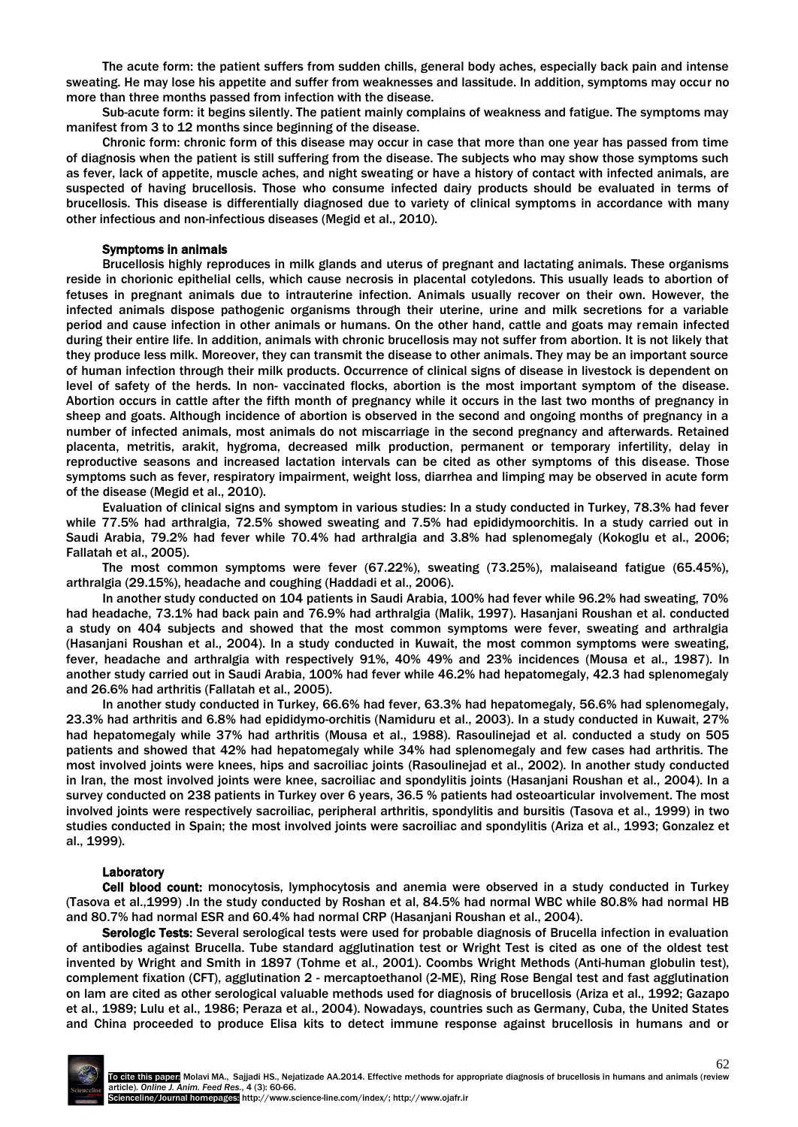The acute form: the patient suffers from sudden chills, general body aches, especially back pain and intense sweating. He may lose his appetite and suffer from weaknesses and lassitude. In addition, symptoms may occur no more than three months passed from infection with the disease.

Sub-acute form: it begins silently. The patient mainly complains of weakness and fatigue. The symptoms may manifest from 3 to 12 months since beginning of the disease.

Chronic form: chronic form of this disease may occur in case that more than one year has passed from time of diagnosis when the patient is still suffering from the disease. The subjects who may show those symptoms such as fever, lack of appetite, muscle aches, and night sweating or have a history of contact with infected animals, are suspected of having brucellosis. Those who consume infected dairy products should be evaluated in terms of brucellosis. This disease is differentially diagnosed due to variety of clinical symptoms in accordance with many other infectious and non-infectious diseases (Megid et al., 2010).

#### Symptoms in animals

Brucellosis highly reproduces in milk glands and uterus of pregnant and lactating animals. These organisms reside in chorionic epithelial cells, which cause necrosis in placental cotyledons. This usually leads to abortion of fetuses in pregnant animals due to intrauterine infection. Animals usually recover on their own. However, the infected animals dispose pathogenic organisms through their uterine, urine and milk secretions for a variable period and cause infection in other animals or humans. On the other hand, cattle and goats may remain infected during their entire life. In addition, animals with chronic brucellosis may not suffer from abortion. It is not likely that they produce less milk. Moreover, they can transmit the disease to other animals. They may be an important source of human infection through their milk products. Occurrence of clinical signs of disease in livestock is dependent on level of safety of the herds. In non- vaccinated flocks, abortion is the most important symptom of the disease. Abortion occurs in cattle after the fifth month of pregnancy while it occurs in the last two months of pregnancy in sheep and goats. Although incidence of abortion is observed in the second and ongoing months of pregnancy in a number of infected animals, most animals do not miscarriage in the second pregnancy and afterwards. Retained placenta, metritis, arakit, hygroma, decreased milk production, permanent or temporary infertility, delay in reproductive seasons and increased lactation intervals can be cited as other symptoms of this disease. Those symptoms such as fever, respiratory impairment, weight loss, diarrhea and limping may be observed in acute form of the disease (Megid et al., 2010).

Evaluation of clinical signs and symptom in various studies: In a study conducted in Turkey, 78.3% had fever while 77.5% had arthralgia, 72.5% showed sweating and 7.5% had epididymoorchitis. In a study carried out in Saudi Arabia, 79.2% had fever while 70.4% had arthralgia and 3.8% had splenomegaly (Kokoglu et al., 2006; Fallatah et al., 2005).

The most common symptoms were fever (67.22%), sweating (73.25%), malaiseand fatigue (65.45%), arthralgia (29.15%), headache and coughing (Haddadi et al., 2006).

In another study conducted on 104 patients in Saudi Arabia, 100% had fever while 96.2% had sweating, 70% had headache, 73.1% had back pain and 76.9% had arthralgia (Malik, 1997). Hasanjani Roushan et al. conducted a study on 404 subjects and showed that the most common symptoms were fever, sweating and arthralgia (Hasanjani Roushan et al., 2004). In a study conducted in Kuwait, the most common symptoms were sweating, fever, headache and arthralgia with respectively 91%, 40% 49% and 23% incidences (Mousa et al., 1987). In another study carried out in Saudi Arabia, 100% had fever while 46.2% had hepatomegaly, 42.3 had splenomegaly and 26.6% had arthritis (Fallatah et al., 2005).

In another study conducted in Turkey, 66.6% had fever, 63.3% had hepatomegaly, 56.6% had splenomegaly, 23.3% had arthritis and 6.8% had epididymo-orchitis (Namiduru et al., 2003). In a study conducted in Kuwait, 27% had hepatomegaly while 37% had arthritis (Mousa et al., 1988). Rasoulinejad et al. conducted a study on 505 patients and showed that 42% had hepatomegaly while 34% had splenomegaly and few cases had arthritis. The most involved joints were knees, hips and sacroiliac joints (Rasoulinejad et al., 2002). In another study conducted in Iran, the most involved joints were knee, sacroiliac and spondylitis joints (Hasanjani Roushan et al., 2004). In a survey conducted on 238 patients in Turkey over 6 years, 36.5 % patients had osteoarticular involvement. The most involved joints were respectively sacroiliac, peripheral arthritis, spondylitis and bursitis (Tasova et al., 1999) in two studies conducted in Spain; the most involved joints were sacroiliac and spondylitis (Ariza et al., 1993; Gonzalez et al., 1999).

# Laboratory

Cell blood count: monocytosis, lymphocytosis and anemia were observed in a study conducted in Turkey (Tasova et al.,1999) .In the study conducted by Roshan et al, 84.5% had normal WBC while 80.8% had normal HB and 80.7% had normal ESR and 60.4% had normal CRP (Hasanjani Roushan et al., 2004).

Serologic Tests: Several serological tests were used for probable diagnosis of Brucella infection in evaluation of antibodies against Brucella. Tube standard agglutination test or Wright Test is cited as one of the oldest test invented by Wright and Smith in 1897 (Tohme et al., 2001). Coombs Wright Methods (Anti-human globulin test), complement fixation (CFT), agglutination 2 - mercaptoethanol (2-ME), Ring Rose Bengal test and fast agglutination on lam are cited as other serological valuable methods used for diagnosis of brucellosis (Ariza et al., 1992; Gazapo et al., 1989; Lulu et al., 1986; Peraza et al., 2004). Nowadays, countries such as Germany, Cuba, the United States and China proceeded to produce Elisa kits to detect immune response against brucellosis in humans and or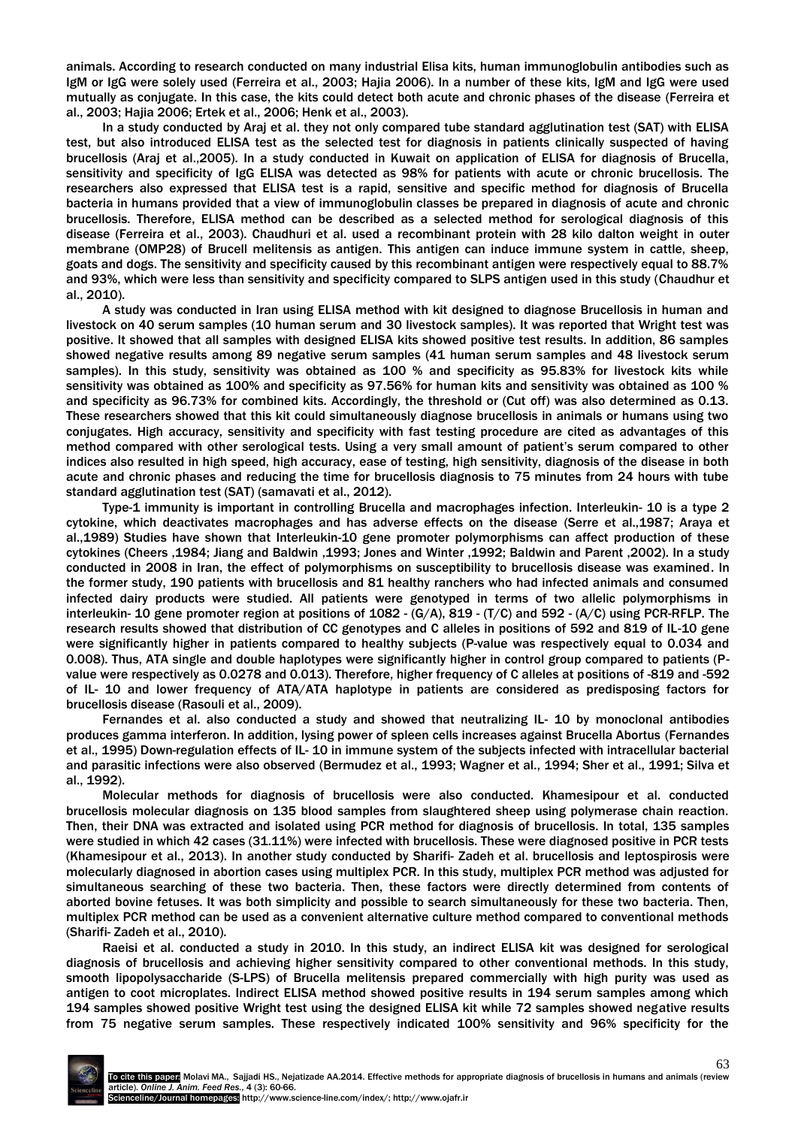animals. According to research conducted on many industrial Elisa kits, human immunoglobulin antibodies such as IgM or IgG were solely used (Ferreira et al., 2003; Hajia 2006). In a number of these kits, IgM and IgG were used mutually as conjugate. In this case, the kits could detect both acute and chronic phases of the disease (Ferreira et al., 2003; Hajia 2006; Ertek et al., 2006; Henk et al., 2003).

In a study conducted by Araj et al. they not only compared tube standard agglutination test (SAT) with ELISA test, but also introduced ELISA test as the selected test for diagnosis in patients clinically suspected of having brucellosis (Araj et al.,2005). In a study conducted in Kuwait on application of ELISA for diagnosis of Brucella, sensitivity and specificity of IgG ELISA was detected as 98% for patients with acute or chronic brucellosis. The researchers also expressed that ELISA test is a rapid, sensitive and specific method for diagnosis of Brucella bacteria in humans provided that a view of immunoglobulin classes be prepared in diagnosis of acute and chronic brucellosis. Therefore, ELISA method can be described as a selected method for serological diagnosis of this disease (Ferreira et al., 2003). Chaudhuri et al. used a recombinant protein with 28 kilo dalton weight in outer membrane (OMP28) of Brucell melitensis as antigen. This antigen can induce immune system in cattle, sheep, goats and dogs. The sensitivity and specificity caused by this recombinant antigen were respectively equal to 88.7% and 93%, which were less than sensitivity and specificity compared to SLPS antigen used in this study (Chaudhur et al., 2010).

A study was conducted in Iran using ELISA method with kit designed to diagnose Brucellosis in human and livestock on 40 serum samples (10 human serum and 30 livestock samples). It was reported that Wright test was positive. It showed that all samples with designed ELISA kits showed positive test results. In addition, 86 samples showed negative results among 89 negative serum samples (41 human serum samples and 48 livestock serum samples). In this study, sensitivity was obtained as 100 % and specificity as 95.83% for livestock kits while sensitivity was obtained as 100% and specificity as 97.56% for human kits and sensitivity was obtained as 100 % and specificity as 96.73% for combined kits. Accordingly, the threshold or (Cut off) was also determined as 0.13. These researchers showed that this kit could simultaneously diagnose brucellosis in animals or humans using two conjugates. High accuracy, sensitivity and specificity with fast testing procedure are cited as advantages of this method compared with other serological tests. Using a very small amount of patient's serum compared to other indices also resulted in high speed, high accuracy, ease of testing, high sensitivity, diagnosis of the disease in both acute and chronic phases and reducing the time for brucellosis diagnosis to 75 minutes from 24 hours with tube standard agglutination test (SAT) (samavati et al., 2012).

Type-1 immunity is important in controlling Brucella and macrophages infection. Interleukin- 10 is a type 2 cytokine, which deactivates macrophages and has adverse effects on the disease (Serre et al.,1987; Araya et al.,1989) Studies have shown that Interleukin-10 gene promoter polymorphisms can affect production of these cytokines (Cheers ,1984; Jiang and Baldwin ,1993; Jones and Winter ,1992; Baldwin and Parent ,2002). In a study conducted in 2008 in Iran, the effect of polymorphisms on susceptibility to brucellosis disease was examined. In the former study, 190 patients with brucellosis and 81 healthy ranchers who had infected animals and consumed infected dairy products were studied. All patients were genotyped in terms of two allelic polymorphisms in interleukin- 10 gene promoter region at positions of 1082 - (G/A), 819 - (T/C) and 592 - (A/C) using PCR-RFLP. The research results showed that distribution of CC genotypes and C alleles in positions of 592 and 819 of IL-10 gene were significantly higher in patients compared to healthy subjects (P-value was respectively equal to 0.034 and 0.008). Thus, ATA single and double haplotypes were significantly higher in control group compared to patients (Pvalue were respectively as 0.0278 and 0.013). Therefore, higher frequency of C alleles at positions of -819 and -592 of IL- 10 and lower frequency of ATA/ATA haplotype in patients are considered as predisposing factors for brucellosis disease (Rasouli et al., 2009).

Fernandes et al. also conducted a study and showed that neutralizing IL- 10 by monoclonal antibodies produces gamma interferon. In addition, lysing power of spleen cells increases against Brucella Abortus (Fernandes et al., 1995) Down-regulation effects of IL- 10 in immune system of the subjects infected with intracellular bacterial and parasitic infections were also observed (Bermudez et al., 1993; Wagner et al., 1994; Sher et al., 1991; Silva et al., 1992).

Molecular methods for diagnosis of brucellosis were also conducted. Khamesipour et al. conducted brucellosis molecular diagnosis on 135 blood samples from slaughtered sheep using polymerase chain reaction. Then, their DNA was extracted and isolated using PCR method for diagnosis of brucellosis. In total, 135 samples were studied in which 42 cases (31.11%) were infected with brucellosis. These were diagnosed positive in PCR tests (Khamesipour et al., 2013). In another study conducted by Sharifi- Zadeh et al. brucellosis and leptospirosis were molecularly diagnosed in abortion cases using multiplex PCR. In this study, multiplex PCR method was adjusted for simultaneous searching of these two bacteria. Then, these factors were directly determined from contents of aborted bovine fetuses. It was both simplicity and possible to search simultaneously for these two bacteria. Then, multiplex PCR method can be used as a convenient alternative culture method compared to conventional methods (Sharifi- Zadeh et al., 2010).

Raeisi et al. conducted a study in 2010. In this study, an indirect ELISA kit was designed for serological diagnosis of brucellosis and achieving higher sensitivity compared to other conventional methods. In this study, smooth lipopolysaccharide (S-LPS) of Brucella melitensis prepared commercially with high purity was used as antigen to coot microplates. Indirect ELISA method showed positive results in 194 serum samples among which 194 samples showed positive Wright test using the designed ELISA kit while 72 samples showed negative results from 75 negative serum samples. These respectively indicated 100% sensitivity and 96% specificity for the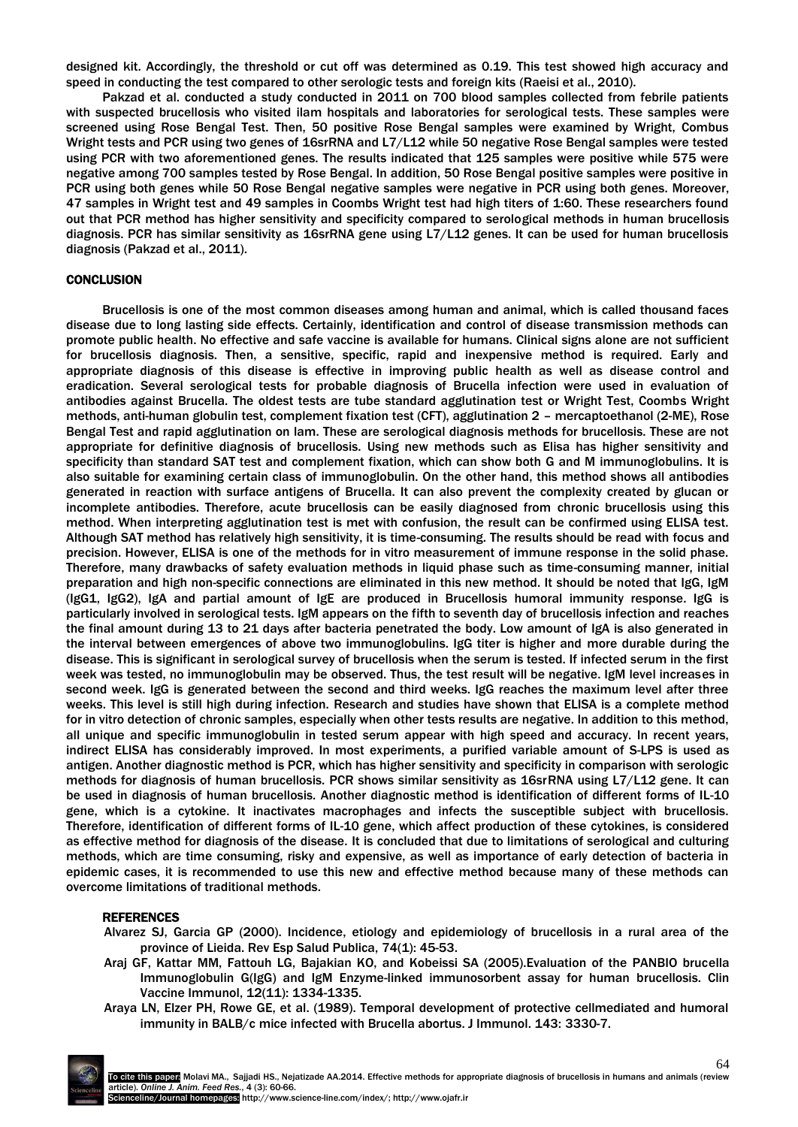designed kit. Accordingly, the threshold or cut off was determined as 0.19. This test showed high accuracy and speed in conducting the test compared to other serologic tests and foreign kits (Raeisi et al., 2010).

Pakzad et al. conducted a study conducted in 2011 on 700 blood samples collected from febrile patients with suspected brucellosis who visited ilam hospitals and laboratories for serological tests. These samples were screened using Rose Bengal Test. Then, 50 positive Rose Bengal samples were examined by Wright, Combus Wright tests and PCR using two genes of 16srRNA and L7/L12 while 50 negative Rose Bengal samples were tested using PCR with two aforementioned genes. The results indicated that 125 samples were positive while 575 were negative among 700 samples tested by Rose Bengal. In addition, 50 Rose Bengal positive samples were positive in PCR using both genes while 50 Rose Bengal negative samples were negative in PCR using both genes. Moreover, 47 samples in Wright test and 49 samples in Coombs Wright test had high titers of 1:60. These researchers found out that PCR method has higher sensitivity and specificity compared to serological methods in human brucellosis diagnosis. PCR has similar sensitivity as 16srRNA gene using L7/L12 genes. It can be used for human brucellosis diagnosis (Pakzad et al., 2011).

# **CONCLUSION**

Brucellosis is one of the most common diseases among human and animal, which is called thousand faces disease due to long lasting side effects. Certainly, identification and control of disease transmission methods can promote public health. No effective and safe vaccine is available for humans. Clinical signs alone are not sufficient for brucellosis diagnosis. Then, a sensitive, specific, rapid and inexpensive method is required. Early and appropriate diagnosis of this disease is effective in improving public health as well as disease control and eradication. Several serological tests for probable diagnosis of Brucella infection were used in evaluation of antibodies against Brucella. The oldest tests are tube standard agglutination test or Wright Test, Coombs Wright methods, anti-human globulin test, complement fixation test (CFT), agglutination 2 – mercaptoethanol (2-ME), Rose Bengal Test and rapid agglutination on lam. These are serological diagnosis methods for brucellosis. These are not appropriate for definitive diagnosis of brucellosis. Using new methods such as Elisa has higher sensitivity and specificity than standard SAT test and complement fixation, which can show both G and M immunoglobulins. It is also suitable for examining certain class of immunoglobulin. On the other hand, this method shows all antibodies generated in reaction with surface antigens of Brucella. It can also prevent the complexity created by glucan or incomplete antibodies. Therefore, acute brucellosis can be easily diagnosed from chronic brucellosis using this method. When interpreting agglutination test is met with confusion, the result can be confirmed using ELISA test. Although SAT method has relatively high sensitivity, it is time-consuming. The results should be read with focus and precision. However, ELISA is one of the methods for in vitro measurement of immune response in the solid phase. Therefore, many drawbacks of safety evaluation methods in liquid phase such as time-consuming manner, initial preparation and high non-specific connections are eliminated in this new method. It should be noted that IgG, IgM (IgG1, IgG2), IgA and partial amount of IgE are produced in Brucellosis humoral immunity response. IgG is particularly involved in serological tests. IgM appears on the fifth to seventh day of brucellosis infection and reaches the final amount during 13 to 21 days after bacteria penetrated the body. Low amount of IgA is also generated in the interval between emergences of above two immunoglobulins. IgG titer is higher and more durable during the disease. This is significant in serological survey of brucellosis when the serum is tested. If infected serum in the first week was tested, no immunoglobulin may be observed. Thus, the test result will be negative. IgM level increases in second week. IgG is generated between the second and third weeks. IgG reaches the maximum level after three weeks. This level is still high during infection. Research and studies have shown that ELISA is a complete method for in vitro detection of chronic samples, especially when other tests results are negative. In addition to this method, all unique and specific immunoglobulin in tested serum appear with high speed and accuracy. In recent years, indirect ELISA has considerably improved. In most experiments, a purified variable amount of S-LPS is used as antigen. Another diagnostic method is PCR, which has higher sensitivity and specificity in comparison with serologic methods for diagnosis of human brucellosis. PCR shows similar sensitivity as 16srRNA using L7/L12 gene. It can be used in diagnosis of human brucellosis. Another diagnostic method is identification of different forms of IL-10 gene, which is a cytokine. It inactivates macrophages and infects the susceptible subject with brucellosis. Therefore, identification of different forms of IL-10 gene, which affect production of these cytokines, is considered as effective method for diagnosis of the disease. It is concluded that due to limitations of serological and culturing methods, which are time consuming, risky and expensive, as well as importance of early detection of bacteria in epidemic cases, it is recommended to use this new and effective method because many of these methods can overcome limitations of traditional methods.

### **REFERENCES**

- Alvarez SJ, Garcia GP (2000). Incidence, etiology and epidemiology of brucellosis in a rural area of the province of Lieida. Rev Esp Salud Publica, 74(1): 45-53.
- Araj GF, Kattar MM, Fattouh LG, Bajakian KO, and Kobeissi SA (2005).Evaluation of the PANBIO brucella Immunoglobulin G(IgG) and IgM Enzyme-linked immunosorbent assay for human brucellosis. Clin Vaccine Immunol, 12(11): 1334-1335.
- Araya LN, Elzer PH, Rowe GE, et al. (1989). Temporal development of protective cellmediated and humoral immunity in BALB/c mice infected with Brucella abortus. J Immunol. 143: 3330-7.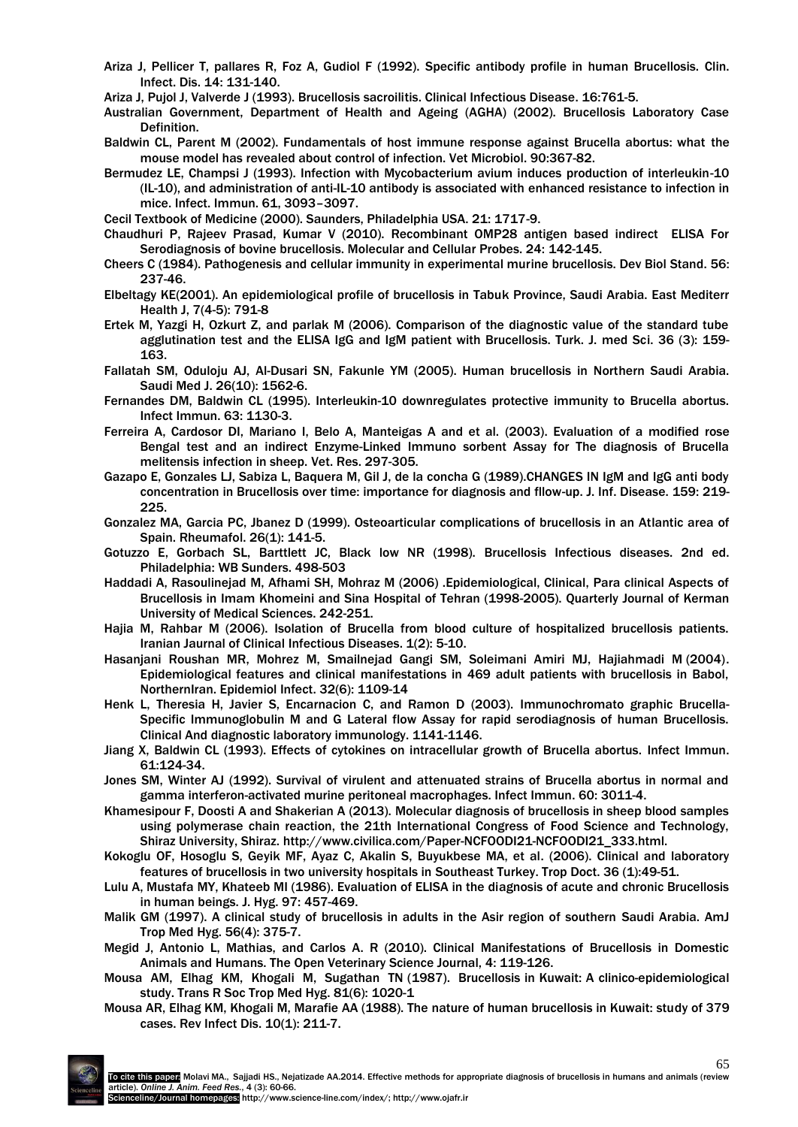- Ariza J, Pellicer T, pallares R, Foz A, Gudiol F (1992). Specific antibody profile in human Brucellosis. Clin. Infect. Dis. 14: 131-140.
- Ariza J, Pujol J, Valverde J (1993). Brucellosis sacroilitis. Clinical Infectious Disease. 16:761-5.
- Australian Government, Department of Health and Ageing (AGHA) (2002). Brucellosis Laboratory Case Definition.
- Baldwin CL, Parent M (2002). Fundamentals of host immune response against Brucella abortus: what the mouse model has revealed about control of infection. Vet Microbiol. 90:367-82.
- Bermudez LE, Champsi J (1993). Infection with Mycobacterium avium induces production of interleukin-10 (IL-10), and administration of anti-IL-10 antibody is associated with enhanced resistance to infection in mice. Infect. Immun. 61, 3093–3097.
- Cecil Textbook of Medicine (2000). Saunders, Philadelphia USA. 21: 1717-9.
- Chaudhuri P, Rajeev Prasad, Kumar V (2010). Recombinant OMP28 antigen based indirect ELISA For Serodiagnosis of bovine brucellosis. Molecular and Cellular Probes. 24: 142-145.
- Cheers C (1984). Pathogenesis and cellular immunity in experimental murine brucellosis. Dev Biol Stand. 56: 237-46.
- Elbeltagy KE(2001). An epidemiological profile of brucellosis in Tabuk Province, Saudi Arabia. East Mediterr Health J, 7(4-5): 791-8
- Ertek M, Yazgi H, Ozkurt Z, and parlak M (2006). Comparison of the diagnostic value of the standard tube agglutination test and the ELISA IgG and IgM patient with Brucellosis. Turk. J. med Sci. 36 (3): 159- 163.
- Fallatah SM, Oduloju AJ, Al-Dusari SN, Fakunle YM (2005). Human brucellosis in Northern Saudi Arabia. Saudi Med J. 26(10): 1562-6.
- Fernandes DM, Baldwin CL (1995). Interleukin-10 downregulates protective immunity to Brucella abortus. Infect Immun. 63: 1130-3.
- Ferreira A, Cardosor DI, Mariano I, Belo A, Manteigas A and et al. (2003). Evaluation of a modified rose Bengal test and an indirect Enzyme-Linked Immuno sorbent Assay for The diagnosis of Brucella melitensis infection in sheep. Vet. Res. 297-305.
- Gazapo E, Gonzales LJ, Sabiza L, Baquera M, Gil J, de la concha G (1989).CHANGES IN IgM and IgG anti body concentration in Brucellosis over time: importance for diagnosis and fllow-up. J. Inf. Disease. 159: 219- 225.
- Gonzalez MA, Garcia PC, Jbanez D (1999). Osteoarticular complications of brucellosis in an Atlantic area of Spain. Rheumafol. 26(1): 141-5.
- Gotuzzo E, Gorbach SL, Barttlett JC, Black low NR (1998). Brucellosis Infectious diseases. 2nd ed. Philadelphia: WB Sunders. 498-503
- Haddadi A, Rasoulinejad M, Afhami SH, Mohraz M (2006) .Epidemiological, Clinical, Para clinical Aspects of Brucellosis in Imam Khomeini and Sina Hospital of Tehran (1998-2005). Quarterly Journal of Kerman University of Medical Sciences. 242-251.
- Hajia M, Rahbar M (2006). Isolation of Brucella from blood culture of hospitalized brucellosis patients. Iranian Jaurnal of Clinical Infectious Diseases. 1(2): 5-10.
- Hasanjani Roushan MR, Mohrez M, Smailnejad Gangi SM, Soleimani Amiri MJ, Hajiahmadi M (2004). Epidemiological features and clinical manifestations in 469 adult patients with brucellosis in Babol, NorthernIran. Epidemiol Infect. 32(6): 1109-14
- Henk L, Theresia H, Javier S, Encarnacion C, and Ramon D (2003). Immunochromato graphic Brucella-Specific Immunoglobulin M and G Lateral flow Assay for rapid serodiagnosis of human Brucellosis. Clinical And diagnostic laboratory immunology. 1141-1146.
- Jiang X, Baldwin CL (1993). Effects of cytokines on intracellular growth of Brucella abortus. Infect Immun. 61:124-34.
- Jones SM, Winter AJ (1992). Survival of virulent and attenuated strains of Brucella abortus in normal and gamma interferon-activated murine peritoneal macrophages. Infect Immun. 60: 3011-4.
- Khamesipour F, Doosti A and Shakerian A (2013). Molecular diagnosis of brucellosis in sheep blood samples using polymerase chain reaction, the 21th International Congress of Food Science and Technology, Shiraz University, Shiraz. http://www.civilica.com/Paper-NCFOODI21-NCFOODI21\_333.html.
- Kokoglu OF, Hosoglu S, Geyik MF, Ayaz C, Akalin S, Buyukbese MA, et al. (2006). Clinical and laboratory features of brucellosis in two university hospitals in Southeast Turkey. Trop Doct. 36 (1):49-51.
- Lulu A, Mustafa MY, Khateeb MI (1986). Evaluation of ELISA in the diagnosis of acute and chronic Brucellosis in human beings. J. Hyg. 97: 457-469.
- Malik GM (1997). A clinical study of brucellosis in adults in the Asir region of southern Saudi Arabia. AmJ Trop Med Hyg. 56(4): 375-7.
- Megid J, Antonio L, Mathias, and Carlos A. R (2010). Clinical Manifestations of Brucellosis in Domestic Animals and Humans. The Open Veterinary Science Journal, 4: 119-126.
- Mousa AM, Elhag KM, Khogali M, Sugathan TN (1987). Brucellosis in Kuwait: A clinico-epidemiological study. Trans R Soc Trop Med Hyg. 81(6): 1020-1
- Mousa AR, Elhag KM, Khogali M, Marafie AA (1988). The nature of human brucellosis in Kuwait: study of 379 cases. Rev Infect Dis. 10(1): 211-7.